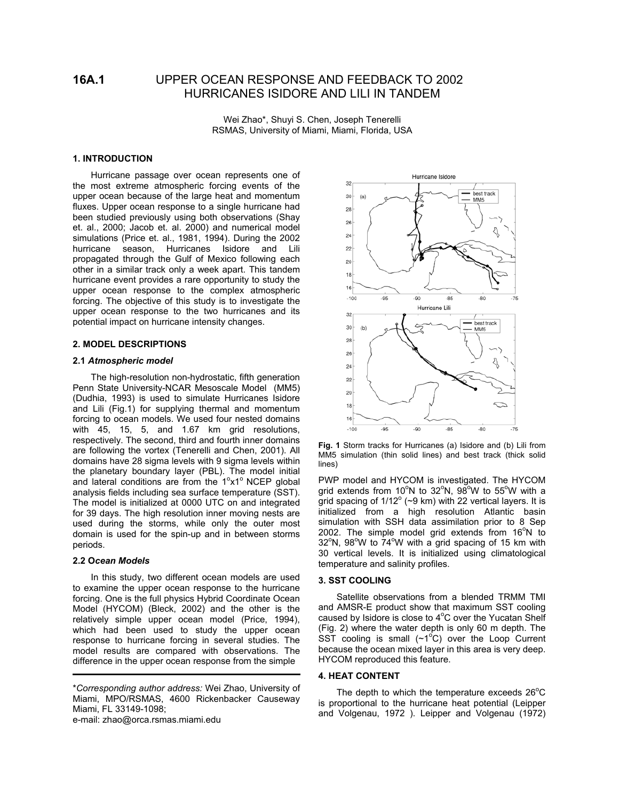# **16A.1** UPPER OCEAN RESPONSE AND FEEDBACK TO 2002 HURRICANES ISIDORE AND LILI IN TANDEM

Wei Zhao\*, Shuyi S. Chen, Joseph Tenerelli RSMAS, University of Miami, Miami, Florida, USA

# **1. INTRODUCTION**

Hurricane passage over ocean represents one of the most extreme atmospheric forcing events of the upper ocean because of the large heat and momentum fluxes. Upper ocean response to a single hurricane had been studied previously using both observations (Shay et. al., 2000; Jacob et. al. 2000) and numerical model simulations (Price et. al., 1981, 1994). During the 2002 hurricane season, Hurricanes Isidore and Lili propagated through the Gulf of Mexico following each other in a similar track only a week apart. This tandem hurricane event provides a rare opportunity to study the upper ocean response to the complex atmospheric forcing. The objective of this study is to investigate the upper ocean response to the two hurricanes and its potential impact on hurricane intensity changes.

# **2. MODEL DESCRIPTIONS**

# **2.1** *Atmospheric model*

The high-resolution non-hydrostatic, fifth generation Penn State University-NCAR Mesoscale Model (MM5) (Dudhia, 1993) is used to simulate Hurricanes Isidore and Lili (Fig.1) for supplying thermal and momentum forcing to ocean models. We used four nested domains with 45, 15, 5, and 1.67 km grid resolutions, respectively. The second, third and fourth inner domains are following the vortex (Tenerelli and Chen, 2001). All domains have 28 sigma levels with 9 sigma levels within the planetary boundary layer (PBL). The model initial and lateral conditions are from the  $1^\circ x1^\circ$  NCEP global analysis fields including sea surface temperature (SST). The model is initialized at 0000 UTC on and integrated for 39 days. The high resolution inner moving nests are used during the storms, while only the outer most domain is used for the spin-up and in between storms periods.

# **2.2 O***cean Models*

֞

In this study, two different ocean models are used to examine the upper ocean response to the hurricane forcing. One is the full physics Hybrid Coordinate Ocean Model (HYCOM) (Bleck, 2002) and the other is the relatively simple upper ocean model (Price, 1994), which had been used to study the upper ocean response to hurricane forcing in several studies. The model results are compared with observations. The difference in the upper ocean response from the simple

e-mail: zhao@orca.rsmas.miami.edu



**Fig. 1** Storm tracks for Hurricanes (a) Isidore and (b) Lili from MM5 simulation (thin solid lines) and best track (thick solid lines)

PWP model and HYCOM is investigated. The HYCOM grid extends from 10<sup>o</sup>N to 32<sup>o</sup>N, 98<sup>o</sup>W to 55<sup>o</sup>W with a grid spacing of 1/12 $^{\circ}$  (~9 km) with 22 vertical layers. It is initialized from a high resolution Atlantic basin simulation with SSH data assimilation prior to 8 Sep 2002. The simple model grid extends from  $16^{\circ}$ N to  $32^{\circ}$ N,  $98^{\circ}$ W to  $74^{\circ}$ W with a grid spacing of 15 km with 30 vertical levels. It is initialized using climatological temperature and salinity profiles.

#### **3. SST COOLING**

Satellite observations from a blended TRMM TMI and AMSR-E product show that maximum SST cooling caused by Isidore is close to 4°C over the Yucatan Shelf (Fig. 2) where the water depth is only 60 m depth. The  $\widetilde{S}$ ST cooling is small (~1 $\mathrm{°C}$ ) over the Loop Current because the ocean mixed layer in this area is very deep. HYCOM reproduced this feature.

#### **4. HEAT CONTENT**

The depth to which the temperature exceeds  $26^{\circ}$ C is proportional to the hurricane heat potential (Leipper and Volgenau, 1972 ). Leipper and Volgenau (1972)

<sup>\*</sup>*Corresponding author address:* Wei Zhao, University of Miami, MPO/RSMAS, 4600 Rickenbacker Causeway Miami, FL 33149-1098;